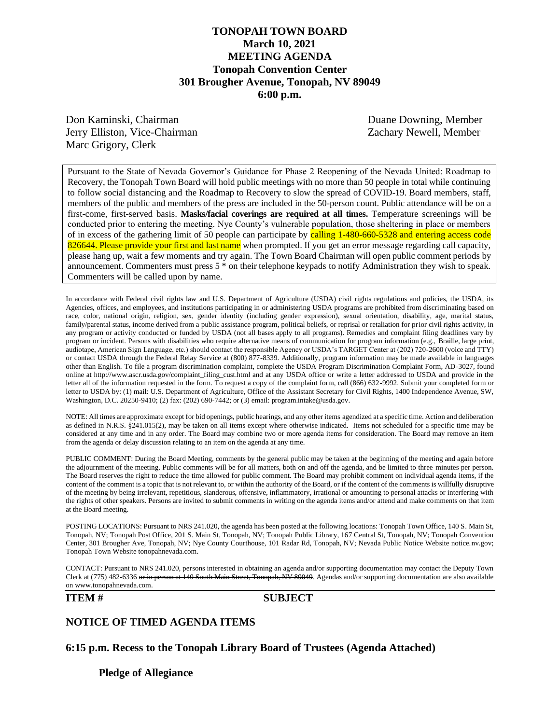## **TONOPAH TOWN BOARD March 10, 2021 MEETING AGENDA Tonopah Convention Center 301 Brougher Avenue, Tonopah, NV 89049 6:00 p.m.**

Don Kaminski, Chairman Duane Downing, Member Jerry Elliston, Vice-Chairman Zachary Newell, Member Marc Grigory, Clerk

Pursuant to the State of Nevada Governor's Guidance for Phase 2 Reopening of the Nevada United: Roadmap to Recovery, the Tonopah Town Board will hold public meetings with no more than 50 people in total while continuing to follow social distancing and the Roadmap to Recovery to slow the spread of COVID-19. Board members, staff, members of the public and members of the press are included in the 50-person count. Public attendance will be on a first-come, first-served basis. **Masks/facial coverings are required at all times.** Temperature screenings will be conducted prior to entering the meeting. Nye County's vulnerable population, those sheltering in place or members of in excess of the gathering limit of 50 people can participate by calling 1-480-660-5328 and entering access code 826644. Please provide your first and last name when prompted. If you get an error message regarding call capacity, please hang up, wait a few moments and try again. The Town Board Chairman will open public comment periods by announcement. Commenters must press 5 \* on their telephone keypads to notify Administration they wish to speak. Commenters will be called upon by name.

In accordance with Federal civil rights law and U.S. Department of Agriculture (USDA) civil rights regulations and policies, the USDA, its Agencies, offices, and employees, and institutions participating in or administering USDA programs are prohibited from discriminating based on race, color, national origin, religion, sex, gender identity (including gender expression), sexual orientation, disability, age, marital status, family/parental status, income derived from a public assistance program, political beliefs, or reprisal or retaliation for prior civil rights activity, in any program or activity conducted or funded by USDA (not all bases apply to all programs). Remedies and complaint filing deadlines vary by program or incident. Persons with disabilities who require alternative means of communication for program information (e.g., Braille, large print, audiotape, American Sign Language, etc.) should contact the responsible Agency or USDA's TARGET Center at (202) 720-2600 (voice and TTY) or contact USDA through the Federal Relay Service at (800) 877-8339. Additionally, program information may be made available in languages other than English. To file a program discrimination complaint, complete the USDA Program Discrimination Complaint Form, AD-3027, found online at http://www.ascr.usda.gov/complaint\_filing\_cust.html and at any USDA office or write a letter addressed to USDA and provide in the letter all of the information requested in the form. To request a copy of the complaint form, call (866) 632-9992. Submit your completed form or letter to USDA by: (1) mail: U.S. Department of Agriculture, Office of the Assistant Secretary for Civil Rights, 1400 Independence Avenue, SW, Washington, D.C. 20250-9410; (2) fax: (202) 690-7442; or (3) email: program.intake@usda.gov.

NOTE: All times are approximate except for bid openings, public hearings, and any other items agendized at a specific time. Action and deliberation as defined in N.R.S. §241.015(2), may be taken on all items except where otherwise indicated. Items not scheduled for a specific time may be considered at any time and in any order. The Board may combine two or more agenda items for consideration. The Board may remove an item from the agenda or delay discussion relating to an item on the agenda at any time.

PUBLIC COMMENT: During the Board Meeting, comments by the general public may be taken at the beginning of the meeting and again before the adjournment of the meeting. Public comments will be for all matters, both on and off the agenda, and be limited to three minutes per person. The Board reserves the right to reduce the time allowed for public comment. The Board may prohibit comment on individual agenda items, if the content of the comment is a topic that is not relevant to, or within the authority of the Board, or if the content of the comments is willfully disruptive of the meeting by being irrelevant, repetitious, slanderous, offensive, inflammatory, irrational or amounting to personal attacks or interfering with the rights of other speakers. Persons are invited to submit comments in writing on the agenda items and/or attend and make comments on that item at the Board meeting.

POSTING LOCATIONS: Pursuant to NRS 241.020, the agenda has been posted at the following locations: Tonopah Town Office, 140 S. Main St, Tonopah, NV; Tonopah Post Office, 201 S. Main St, Tonopah, NV; Tonopah Public Library, 167 Central St, Tonopah, NV; Tonopah Convention Center, 301 Brougher Ave, Tonopah, NV; Nye County Courthouse, 101 Radar Rd, Tonopah, NV; Nevada Public Notice Website notice.nv.gov; Tonopah Town Website tonopahnevada.com.

CONTACT: Pursuant to NRS 241.020, persons interested in obtaining an agenda and/or supporting documentation may contact the Deputy Town Clerk at (775) 482-6336 or in person at 140 South Main Street, Tonopah, NV 89049. Agendas and/or supporting documentation are also available on www.tonopahnevada.com.

#### **ITEM # SUBJECT**

#### **NOTICE OF TIMED AGENDA ITEMS**

**6:15 p.m. Recess to the Tonopah Library Board of Trustees (Agenda Attached)**

**Pledge of Allegiance**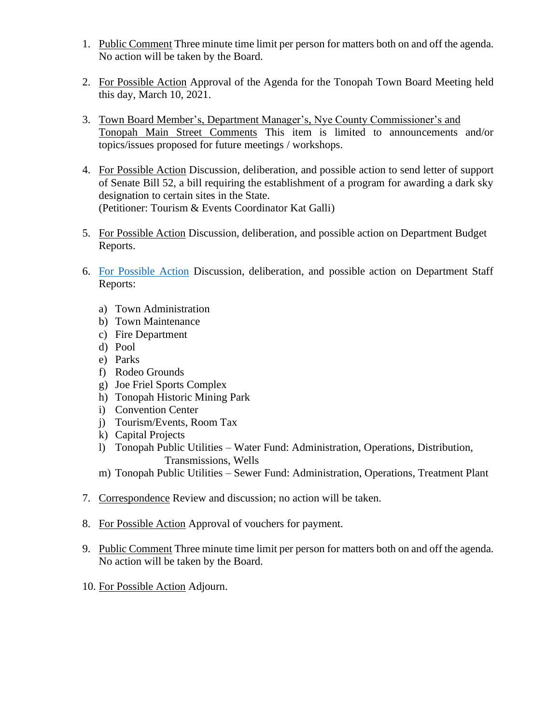- 1. Public Comment Three minute time limit per person for matters both on and off the agenda. No action will be taken by the Board.
- 2. For Possible Action Approval of the Agenda for the Tonopah Town Board Meeting held this day, March 10, 2021.
- 3. Town Board Member's, Department Manager's, Nye County Commissioner's and Tonopah Main Street Comments This item is limited to announcements and/or topics/issues proposed for future meetings / workshops.
- 4. For Possible Action Discussion, deliberation, and possible action to send letter of support of Senate Bill 52, a bill requiring the establishment of a program for awarding a dark sky designation to certain sites in the State. (Petitioner: Tourism & Events Coordinator Kat Galli)
- 5. For Possible Action Discussion, deliberation, and possible action on Department Budget Reports.
- 6. [For Possible Action](https://www.tonopahnevada.com/agendas/backup-2021/StaffReports-3-10-21.pdf) Discussion, deliberation, and possible action on Department Staff Reports:
	- a) Town Administration
	- b) Town Maintenance
	- c) Fire Department
	- d) Pool
	- e) Parks
	- f) Rodeo Grounds
	- g) Joe Friel Sports Complex
	- h) Tonopah Historic Mining Park
	- i) Convention Center
	- j) Tourism/Events, Room Tax
	- k) Capital Projects
	- l) Tonopah Public Utilities Water Fund: Administration, Operations, Distribution, Transmissions, Wells
	- m) Tonopah Public Utilities Sewer Fund: Administration, Operations, Treatment Plant
- 7. Correspondence Review and discussion; no action will be taken.
- 8. For Possible Action Approval of vouchers for payment.
- 9. Public Comment Three minute time limit per person for matters both on and off the agenda. No action will be taken by the Board.
- 10. For Possible Action Adjourn.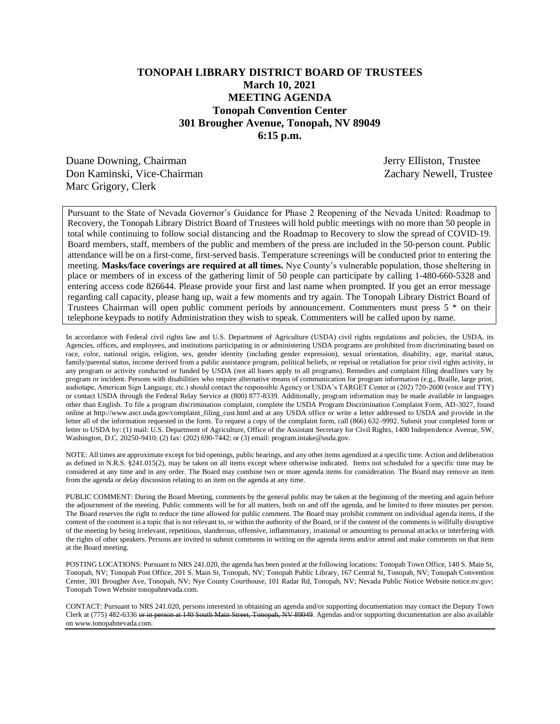## **TONOPAH LIBRARY DISTRICT BOARD OF TRUSTEES March 10, 2021 MEETING AGENDA Tonopah Convention Center 301 Brougher Avenue, Tonopah, NV 89049 6:15 p.m.**

Duane Downing, Chairman Jerry Elliston, Trustee Don Kaminski, Vice-Chairman Zachary Newell, Trustee Marc Grigory, Clerk

Pursuant to the State of Nevada Governor's Guidance for Phase 2 Reopening of the Nevada United: Roadmap to Recovery, the Tonopah Library District Board of Trustees will hold public meetings with no more than 50 people in total while continuing to follow social distancing and the Roadmap to Recovery to slow the spread of COVID-19. Board members, staff, members of the public and members of the press are included in the 50-person count. Public attendance will be on a first-come, first-served basis. Temperature screenings will be conducted prior to entering the meeting. **Masks/face coverings are required at all times.** Nye County's vulnerable population, those sheltering in place or members of in excess of the gathering limit of 50 people can participate by calling 1-480-660-5328 and entering access code 826644. Please provide your first and last name when prompted. If you get an error message regarding call capacity, please hang up, wait a few moments and try again. The Tonopah Library District Board of Trustees Chairman will open public comment periods by announcement. Commenters must press 5 \* on their telephone keypads to notify Administration they wish to speak. Commenters will be called upon by name.

In accordance with Federal civil rights law and U.S. Department of Agriculture (USDA) civil rights regulations and policies, the USDA, its Agencies, offices, and employees, and institutions participating in or administering USDA programs are prohibited from discriminating based on race, color, national origin, religion, sex, gender identity (including gender expression), sexual orientation, disability, age, marital status, family/parental status, income derived from a public assistance program, political beliefs, or reprisal or retaliation for prior civil rights activity, in any program or activity conducted or funded by USDA (not all bases apply to all programs). Remedies and complaint filing deadlines vary by program or incident. Persons with disabilities who require alternative means of communication for program information (e.g., Braille, large print, audiotape, American Sign Language, etc.) should contact the responsible Agency or USDA's TARGET Center at (202) 720-2600 (voice and TTY) or contact USDA through the Federal Relay Service at (800) 877-8339. Additionally, program information may be made available in languages other than English. To file a program discrimination complaint, complete the USDA Program Discrimination Complaint Form, AD-3027, found online at http://www.ascr.usda.gov/complaint\_filing\_cust.html and at any USDA office or write a letter addressed to USDA and provide in the letter all of the information requested in the form. To request a copy of the complaint form, call (866) 632-9992. Submit your completed form or letter to USDA by: (1) mail: U.S. Department of Agriculture, Office of the Assistant Secretary for Civil Rights, 1400 Independence Avenue, SW, Washington, D.C. 20250-9410; (2) fax: (202) 690-7442; or (3) email: program.intake@usda.gov.

NOTE: All times are approximate except for bid openings, public hearings, and any other items agendized at a specific time. Action and deliberation as defined in N.R.S. §241.015(2), may be taken on all items except where otherwise indicated. Items not scheduled for a specific time may be considered at any time and in any order. The Board may combine two or more agenda items for consideration. The Board may remove an item from the agenda or delay discussion relating to an item on the agenda at any time.

PUBLIC COMMENT: During the Board Meeting, comments by the general public may be taken at the beginning of the meeting and again before the adjournment of the meeting. Public comments will be for all matters, both on and off the agenda, and be limited to three minutes per person. The Board reserves the right to reduce the time allowed for public comment. The Board may prohibit comment on individual agenda items, if the content of the comment is a topic that is not relevant to, or within the authority of the Board, or if the content of the comments is willfully disruptive of the meeting by being irrelevant, repetitious, slanderous, offensive, inflammatory, irrational or amounting to personal attacks or interfering with the rights of other speakers. Persons are invited to submit comments in writing on the agenda items and/or attend and make comments on that item at the Board meeting.

POSTING LOCATIONS: Pursuant to NRS 241.020, the agenda has been posted at the following locations: Tonopah Town Office, 140 S. Main St, Tonopah, NV; Tonopah Post Office, 201 S. Main St, Tonopah, NV; Tonopah Public Library, 167 Central St, Tonopah, NV; Tonopah Convention Center, 301 Brougher Ave, Tonopah, NV; Nye County Courthouse, 101 Radar Rd, Tonopah, NV; Nevada Public Notice Website notice.nv.gov; Tonopah Town Website tonopahnevada.com.

CONTACT: Pursuant to NRS 241.020, persons interested in obtaining an agenda and/or supporting documentation may contact the Deputy Town Clerk at (775) 482-6336 or in person at 140 South Main Street, Tonopah, NV 89049. Agendas and/or supporting documentation are also available on www.tonopahnevada.com.